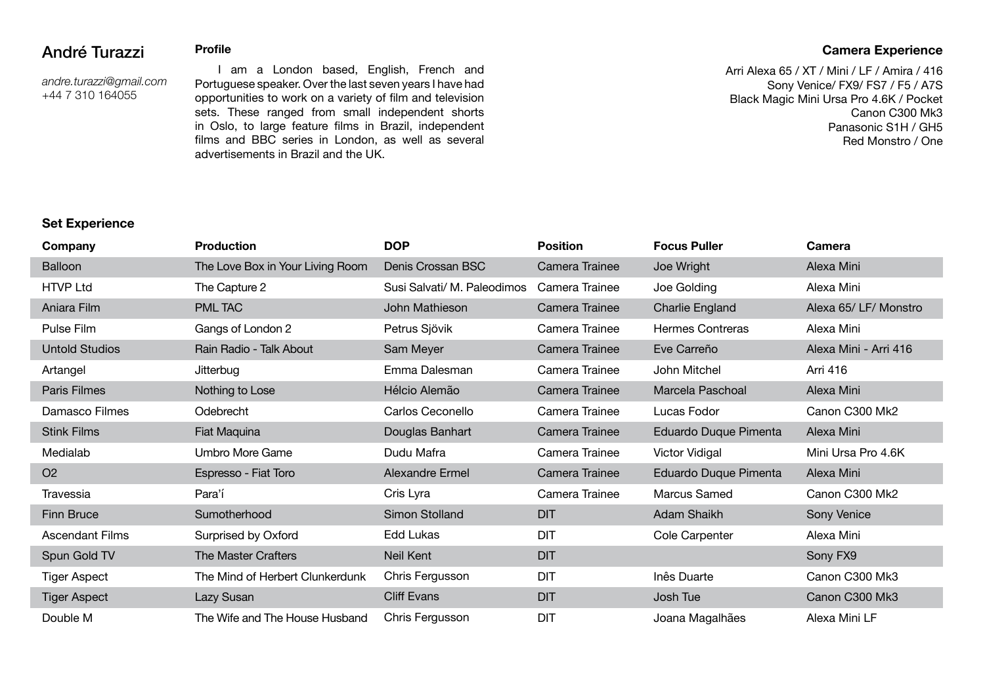## André Turazzi

*andre.turazzi@gmail.com* +44 7 310 164055

**Profile**

 I am a London based, English, French and Portuguese speaker. Over the last seven years I have had opportunities to work on a variety of film and television sets. These ranged from small independent shorts in Oslo, to large feature films in Brazil, independent films and BBC series in London, as well as several advertisements in Brazil and the UK.

## **Camera Experience**

Arri Alexa 65 / XT / Mini / LF / Amira / 416 Sony Venice/ FX9/ FS7 / F5 / A7S Black Magic Mini Ursa Pro 4.6K / Pocket Canon C300 Mk3 Panasonic S1H / GH5 Red Monstro / One

### **Set Experience**

| Company                | <b>Production</b>                | <b>DOP</b>                  | <b>Position</b> | <b>Focus Puller</b>     | <b>Camera</b>         |
|------------------------|----------------------------------|-----------------------------|-----------------|-------------------------|-----------------------|
| <b>Balloon</b>         | The Love Box in Your Living Room | Denis Crossan BSC           | Camera Trainee  | Joe Wright              | Alexa Mini            |
| <b>HTVP Ltd</b>        | The Capture 2                    | Susi Salvati/ M. Paleodimos | Camera Trainee  | Joe Golding             | Alexa Mini            |
| Aniara Film            | PML TAC                          | John Mathieson              | Camera Trainee  | Charlie England         | Alexa 65/ LF/ Monstro |
| Pulse Film             | Gangs of London 2                | Petrus Sjövik               | Camera Trainee  | <b>Hermes Contreras</b> | Alexa Mini            |
| <b>Untold Studios</b>  | Rain Radio - Talk About          | Sam Meyer                   | Camera Trainee  | Eve Carreño             | Alexa Mini - Arri 416 |
| Artangel               | Jitterbug                        | Emma Dalesman               | Camera Trainee  | John Mitchel            | Arri 416              |
| Paris Filmes           | Nothing to Lose                  | Hélcio Alemão               | Camera Trainee  | Marcela Paschoal        | Alexa Mini            |
| Damasco Filmes         | Odebrecht                        | Carlos Ceconello            | Camera Trainee  | Lucas Fodor             | Canon C300 Mk2        |
| <b>Stink Films</b>     | Fiat Maquina                     | Douglas Banhart             | Camera Trainee  | Eduardo Duque Pimenta   | Alexa Mini            |
| Medialab               | Umbro More Game                  | Dudu Mafra                  | Camera Trainee  | Victor Vidigal          | Mini Ursa Pro 4.6K    |
| O <sub>2</sub>         | Espresso - Fiat Toro             | Alexandre Ermel             | Camera Trainee  | Eduardo Duque Pimenta   | Alexa Mini            |
| Travessia              | Para'í                           | Cris Lyra                   | Camera Trainee  | Marcus Samed            | Canon C300 Mk2        |
| Finn Bruce             | Sumotherhood                     | Simon Stolland              | <b>DIT</b>      | Adam Shaikh             | Sony Venice           |
| <b>Ascendant Films</b> | Surprised by Oxford              | Edd Lukas                   | <b>DIT</b>      | Cole Carpenter          | Alexa Mini            |
| Spun Gold TV           | <b>The Master Crafters</b>       | Neil Kent                   | <b>DIT</b>      |                         | Sony FX9              |
| <b>Tiger Aspect</b>    | The Mind of Herbert Clunkerdunk  | Chris Fergusson             | <b>DIT</b>      | Inês Duarte             | Canon C300 Mk3        |
| Tiger Aspect           | Lazy Susan                       | <b>Cliff Evans</b>          | <b>DIT</b>      | Josh Tue                | Canon C300 Mk3        |
| Double M               | The Wife and The House Husband   | Chris Fergusson             | <b>DIT</b>      | Joana Magalhães         | Alexa Mini LF         |